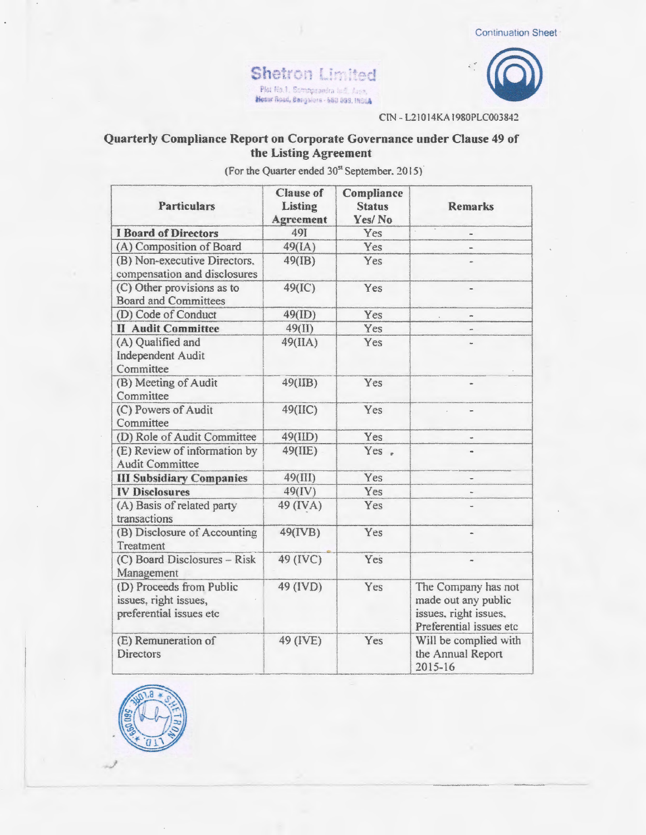



CIN - L21014KA1980PLC003842

## Quarterly Compliance Report on Corporate Governance under Clause 49 of the Listing Agreement

(For the Quarter ended 30<sup>st</sup> September, 2015)

| <b>Particulars</b>                                                           | <b>Clause of</b><br>Listing<br>Agreement | Compliance<br><b>Status</b><br>Yes/No | <b>Remarks</b>                                                                                 |
|------------------------------------------------------------------------------|------------------------------------------|---------------------------------------|------------------------------------------------------------------------------------------------|
| <b>I Board of Directors</b>                                                  | 491                                      | Yes                                   |                                                                                                |
| (A) Composition of Board                                                     | 49(IA)                                   | Yes                                   |                                                                                                |
| (B) Non-executive Directors.<br>compensation and disclosures                 | $49$ (IB)                                | Yes                                   |                                                                                                |
| (C) Other provisions as to<br><b>Board and Committees</b>                    | 49(IC)                                   | Yes                                   | u.                                                                                             |
| (D) Code of Conduct                                                          | 49(ID)                                   | Yes                                   |                                                                                                |
| <b>II Audit Committee</b>                                                    | 49(II)                                   | Yes                                   |                                                                                                |
| (A) Qualified and<br>Independent Audit<br>Committee                          | 49(IIA)                                  | Yes                                   |                                                                                                |
| (B) Meeting of Audit<br>Committee                                            | 49(IIB)                                  | Yes                                   | ÷                                                                                              |
| (C) Powers of Audit<br>Committee                                             | 49(IIC)                                  | Yes                                   | $\blacksquare$                                                                                 |
| (D) Role of Audit Committee                                                  | 49(IID)                                  | Yes                                   |                                                                                                |
| (E) Review of information by<br><b>Audit Committee</b>                       | 49(IIE)                                  | Yes.                                  |                                                                                                |
| <b>III Subsidiary Companies</b>                                              | 49(III)                                  | Yes                                   |                                                                                                |
| <b>IV Disclosures</b>                                                        | 49(IV)                                   | Yes                                   |                                                                                                |
| (A) Basis of related party<br>transactions                                   | 49 (IVA)                                 | Yes                                   |                                                                                                |
| (B) Disclosure of Accounting<br>Treatment                                    | 49(IVB)                                  | Yes                                   |                                                                                                |
| (C) Board Disclosures - Risk<br>Management                                   | 49 (IVC)                                 | Yes                                   |                                                                                                |
| (D) Proceeds from Public<br>issues, right issues,<br>preferential issues etc | 49 (IVD)                                 | Yes                                   | The Company has not<br>made out any public<br>issues, right issues.<br>Preferential issues etc |
| (E) Remuneration of<br><b>Directors</b>                                      | 49 (IVE)                                 | Yes                                   | Will be complied with<br>the Annual Report<br>$2015 - 16$                                      |